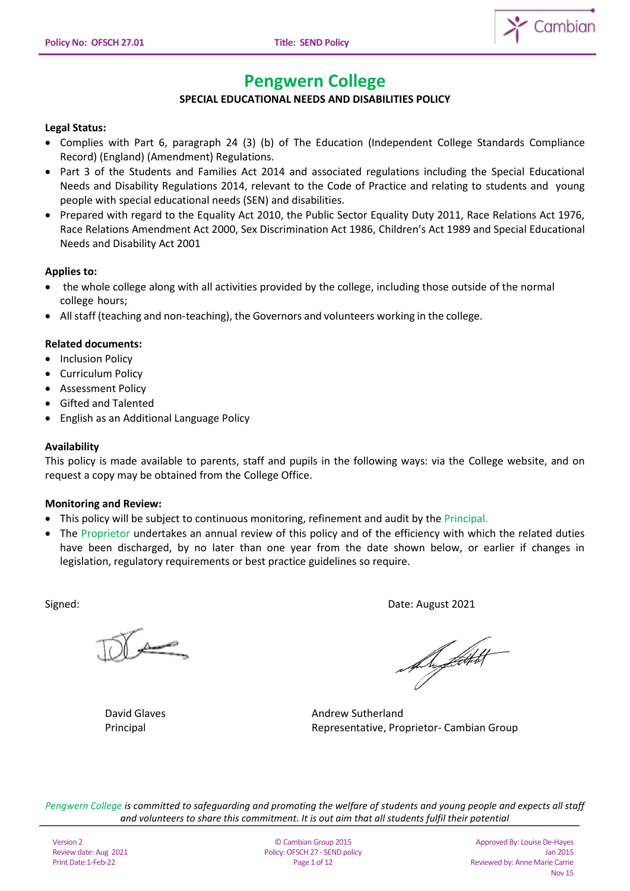

# **Pengwern College**

# **SPECIAL EDUCATIONAL NEEDS AND DISABILITIES POLICY**

## **Legal Status:**

- Complies with Part 6, paragraph 24 (3) (b) of The Education (Independent College Standards Compliance Record) (England) (Amendment) Regulations.
- Part 3 of the Students and Families Act 2014 and associated regulations including the Special Educational Needs and Disability Regulations 2014, relevant to the Code of Practice and relating to students and young people with special educational needs (SEN) and disabilities.
- Prepared with regard to the Equality Act 2010, the Public Sector Equality Duty 2011, Race Relations Act 1976, Race Relations Amendment Act 2000, Sex Discrimination Act 1986, Children's Act 1989 and Special Educational Needs and Disability Act 2001

## **Applies to:**

- the whole college along with all activities provided by the college, including those outside of the normal college hours;
- All staff (teaching and non‐teaching), the Governors and volunteers working in the college.

## **Related documents:**

- Inclusion Policy
- Curriculum Policy
- Assessment Policy
- Gifted and Talented
- English as an Additional Language Policy

## **Availability**

This policy is made available to parents, staff and pupils in the following ways: via the College website, and on request a copy may be obtained from the College Office.

## **Monitoring and Review:**

- This policy will be subject to continuous monitoring, refinement and audit by the Principal.
- The Proprietor undertakes an annual review of this policy and of the efficiency with which the related duties have been discharged, by no later than one year from the date shown below, or earlier if changes in legislation, regulatory requirements or best practice guidelines so require.

 $\overbrace{\phantom{aaaaa}}^{\overbrace{aaaa}}$ 

Signed: Date: August 2021

Du *flot*tett

David Glaves **Andrew Sutherland** Principal **Principal** Representative, Proprietor- Cambian Group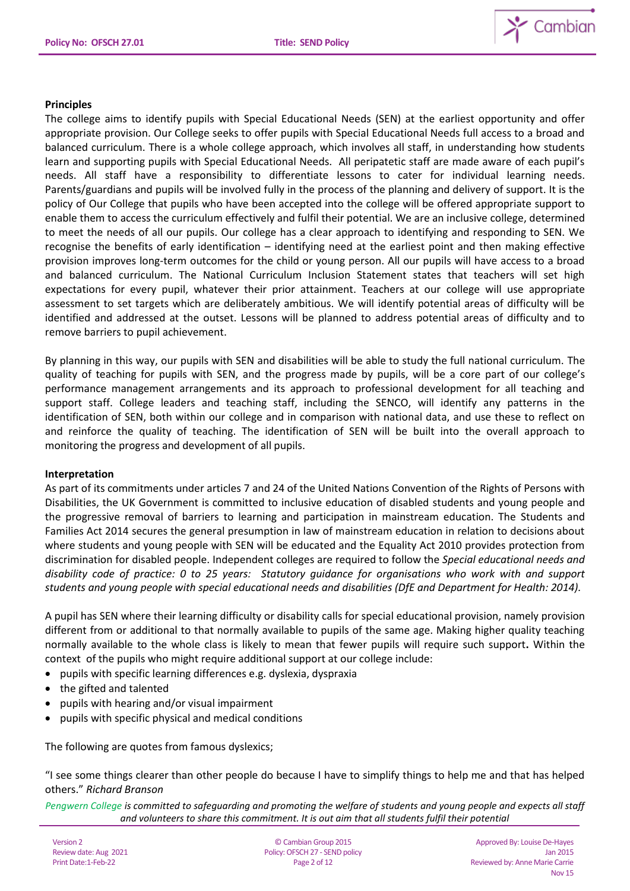

#### **Principles**

The college aims to identify pupils with Special Educational Needs (SEN) at the earliest opportunity and offer appropriate provision. Our College seeks to offer pupils with Special Educational Needs full access to a broad and balanced curriculum. There is a whole college approach, which involves all staff, in understanding how students learn and supporting pupils with Special Educational Needs. All peripatetic staff are made aware of each pupil's needs. All staff have a responsibility to differentiate lessons to cater for individual learning needs. Parents/guardians and pupils will be involved fully in the process of the planning and delivery of support. It is the policy of Our College that pupils who have been accepted into the college will be offered appropriate support to enable them to access the curriculum effectively and fulfil their potential. We are an inclusive college, determined to meet the needs of all our pupils. Our college has a clear approach to identifying and responding to SEN. We recognise the benefits of early identification – identifying need at the earliest point and then making effective provision improves long-term outcomes for the child or young person. All our pupils will have access to a broad and balanced curriculum. The National Curriculum Inclusion Statement states that teachers will set high expectations for every pupil, whatever their prior attainment. Teachers at our college will use appropriate assessment to set targets which are deliberately ambitious. We will identify potential areas of difficulty will be identified and addressed at the outset. Lessons will be planned to address potential areas of difficulty and to remove barriers to pupil achievement.

By planning in this way, our pupils with SEN and disabilities will be able to study the full national curriculum. The quality of teaching for pupils with SEN, and the progress made by pupils, will be a core part of our college's performance management arrangements and its approach to professional development for all teaching and support staff. College leaders and teaching staff, including the SENCO, will identify any patterns in the identification of SEN, both within our college and in comparison with national data, and use these to reflect on and reinforce the quality of teaching. The identification of SEN will be built into the overall approach to monitoring the progress and development of all pupils.

## **Interpretation**

As part of its commitments under articles 7 and 24 of the United Nations Convention of the Rights of Persons with Disabilities, the UK Government is committed to inclusive education of disabled students and young people and the progressive removal of barriers to learning and participation in mainstream education. The Students and Families Act 2014 secures the general presumption in law of mainstream education in relation to decisions about where students and young people with SEN will be educated and the Equality Act 2010 provides protection from discrimination for disabled people. Independent colleges are required to follow the *Special educational needs and disability code of practice: 0 to 25 years: Statutory guidance for organisations who work with and support students and young people with special educational needs and disabilities (DfE and Department for Health: 2014).*

A pupil has SEN where their learning difficulty or disability calls for special educational provision, namely provision different from or additional to that normally available to pupils of the same age. Making higher quality teaching normally available to the whole class is likely to mean that fewer pupils will require such support**.** Within the context of the pupils who might require additional support at our college include:

- pupils with specific learning differences e.g. dyslexia, dyspraxia
- the gifted and talented
- pupils with hearing and/or visual impairment
- pupils with specific physical and medical conditions

The following are quotes from famous dyslexics;

"I see some things clearer than other people do because I have to simplify things to help me and that has helped others." *Richard Branson*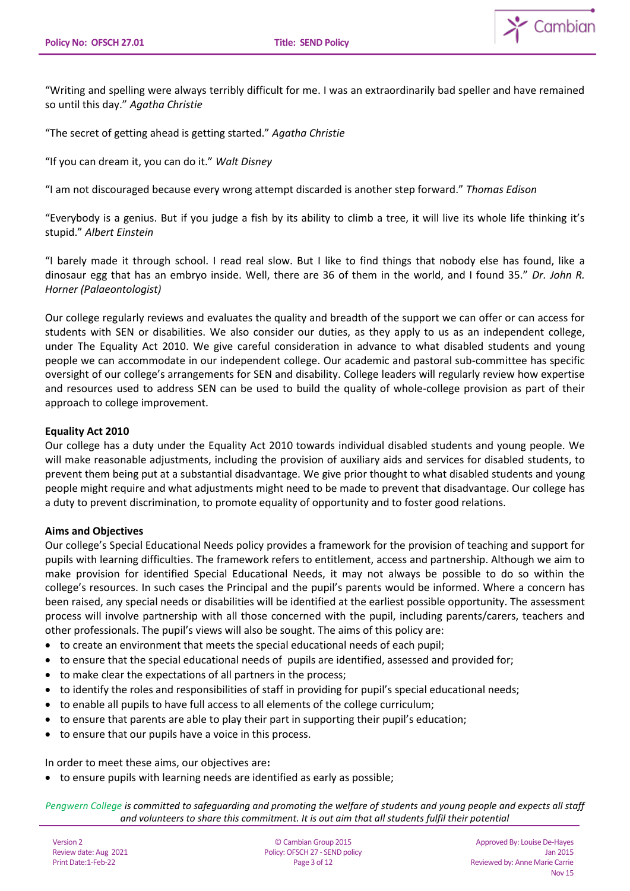

"Writing and spelling were always terribly difficult for me. I was an extraordinarily bad speller and have remained so until this day." *Agatha Christie*

"The secret of getting ahead is getting started." *Agatha Christie*

"If you can dream it, you can do it." *Walt Disney*

"I am not discouraged because every wrong attempt discarded is another step forward." *Thomas Edison*

"Everybody is a genius. But if you judge a fish by its ability to climb a tree, it will live its whole life thinking it's stupid." *Albert Einstein*

"I barely made it through school. I read real slow. But I like to find things that nobody else has found, like a dinosaur egg that has an embryo inside. Well, there are 36 of them in the world, and I found 35." *Dr. John R. Horner (Palaeontologist)*

Our college regularly reviews and evaluates the quality and breadth of the support we can offer or can access for students with SEN or disabilities. We also consider our duties, as they apply to us as an independent college, under The Equality Act 2010. We give careful consideration in advance to what disabled students and young people we can accommodate in our independent college. Our academic and pastoral sub-committee has specific oversight of our college's arrangements for SEN and disability. College leaders will regularly review how expertise and resources used to address SEN can be used to build the quality of whole-college provision as part of their approach to college improvement.

#### **Equality Act 2010**

Our college has a duty under the Equality Act 2010 towards individual disabled students and young people. We will make reasonable adjustments, including the provision of auxiliary aids and services for disabled students, to prevent them being put at a substantial disadvantage. We give prior thought to what disabled students and young people might require and what adjustments might need to be made to prevent that disadvantage. Our college has a duty to prevent discrimination, to promote equality of opportunity and to foster good relations.

## **Aims and Objectives**

Our college's Special Educational Needs policy provides a framework for the provision of teaching and support for pupils with learning difficulties. The framework refers to entitlement, access and partnership. Although we aim to make provision for identified Special Educational Needs, it may not always be possible to do so within the college's resources. In such cases the Principal and the pupil's parents would be informed. Where a concern has been raised, any special needs or disabilities will be identified at the earliest possible opportunity. The assessment process will involve partnership with all those concerned with the pupil, including parents/carers, teachers and other professionals. The pupil's views will also be sought. The aims of this policy are:

- to create an environment that meets the special educational needs of each pupil;
- to ensure that the special educational needs of pupils are identified, assessed and provided for;
- to make clear the expectations of all partners in the process;
- to identify the roles and responsibilities of staff in providing for pupil's special educational needs;
- to enable all pupils to have full access to all elements of the college curriculum;
- to ensure that parents are able to play their part in supporting their pupil's education;
- to ensure that our pupils have a voice in this process.

In order to meet these aims, our objectives are**:** 

to ensure pupils with learning needs are identified as early as possible;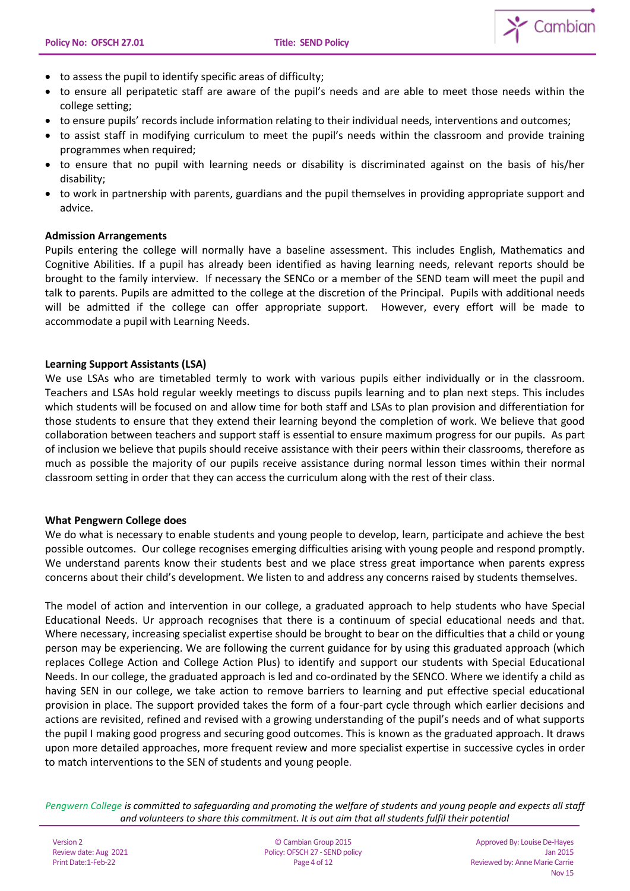

- to assess the pupil to identify specific areas of difficulty;
- to ensure all peripatetic staff are aware of the pupil's needs and are able to meet those needs within the college setting;
- to ensure pupils' records include information relating to their individual needs, interventions and outcomes;
- to assist staff in modifying curriculum to meet the pupil's needs within the classroom and provide training programmes when required;
- to ensure that no pupil with learning needs or disability is discriminated against on the basis of his/her disability;
- to work in partnership with parents, guardians and the pupil themselves in providing appropriate support and advice.

## **Admission Arrangements**

Pupils entering the college will normally have a baseline assessment. This includes English, Mathematics and Cognitive Abilities. If a pupil has already been identified as having learning needs, relevant reports should be brought to the family interview. If necessary the SENCo or a member of the SEND team will meet the pupil and talk to parents. Pupils are admitted to the college at the discretion of the Principal. Pupils with additional needs will be admitted if the college can offer appropriate support. However, every effort will be made to accommodate a pupil with Learning Needs.

## **Learning Support Assistants (LSA)**

We use LSAs who are timetabled termly to work with various pupils either individually or in the classroom. Teachers and LSAs hold regular weekly meetings to discuss pupils learning and to plan next steps. This includes which students will be focused on and allow time for both staff and LSAs to plan provision and differentiation for those students to ensure that they extend their learning beyond the completion of work. We believe that good collaboration between teachers and support staff is essential to ensure maximum progress for our pupils. As part of inclusion we believe that pupils should receive assistance with their peers within their classrooms, therefore as much as possible the majority of our pupils receive assistance during normal lesson times within their normal classroom setting in order that they can access the curriculum along with the rest of their class.

#### **What Pengwern College does**

We do what is necessary to enable students and young people to develop, learn, participate and achieve the best possible outcomes. Our college recognises emerging difficulties arising with young people and respond promptly. We understand parents know their students best and we place stress great importance when parents express concerns about their child's development. We listen to and address any concerns raised by students themselves.

The model of action and intervention in our college, a graduated approach to help students who have Special Educational Needs. Ur approach recognises that there is a continuum of special educational needs and that. Where necessary, increasing specialist expertise should be brought to bear on the difficulties that a child or young person may be experiencing. We are following the current guidance for by using this graduated approach (which replaces College Action and College Action Plus) to identify and support our students with Special Educational Needs. In our college, the graduated approach is led and co-ordinated by the SENCO. Where we identify a child as having SEN in our college, we take action to remove barriers to learning and put effective special educational provision in place. The support provided takes the form of a four-part cycle through which earlier decisions and actions are revisited, refined and revised with a growing understanding of the pupil's needs and of what supports the pupil I making good progress and securing good outcomes. This is known as the graduated approach. It draws upon more detailed approaches, more frequent review and more specialist expertise in successive cycles in order to match interventions to the SEN of students and young people.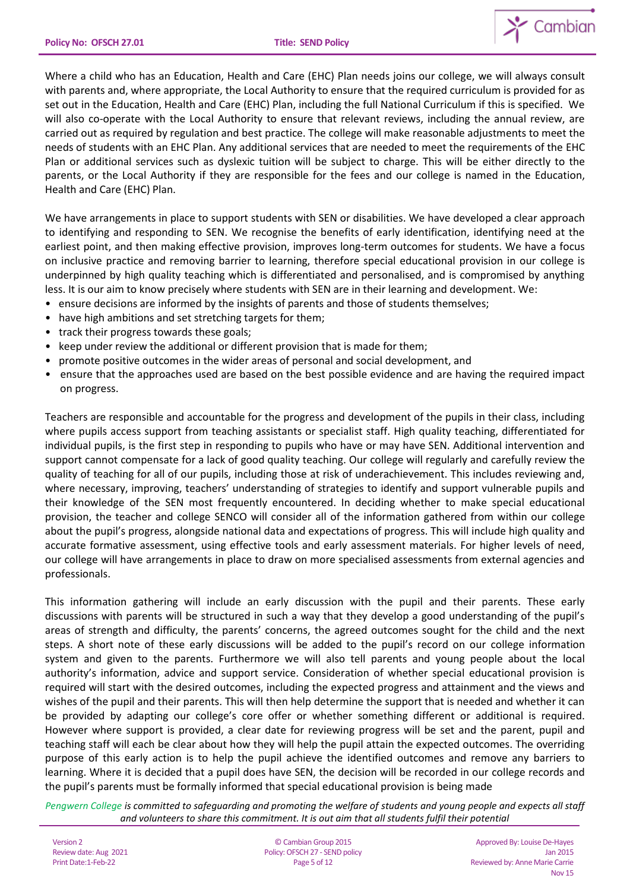

Where a child who has an Education, Health and Care (EHC) Plan needs joins our college, we will always consult with parents and, where appropriate, the Local Authority to ensure that the required curriculum is provided for as set out in the Education, Health and Care (EHC) Plan, including the full National Curriculum if this is specified. We will also co-operate with the Local Authority to ensure that relevant reviews, including the annual review, are carried out as required by regulation and best practice. The college will make reasonable adjustments to meet the needs of students with an EHC Plan. Any additional services that are needed to meet the requirements of the EHC Plan or additional services such as dyslexic tuition will be subject to charge. This will be either directly to the parents, or the Local Authority if they are responsible for the fees and our college is named in the Education, Health and Care (EHC) Plan.

We have arrangements in place to support students with SEN or disabilities. We have developed a clear approach to identifying and responding to SEN. We recognise the benefits of early identification, identifying need at the earliest point, and then making effective provision, improves long-term outcomes for students. We have a focus on inclusive practice and removing barrier to learning, therefore special educational provision in our college is underpinned by high quality teaching which is differentiated and personalised, and is compromised by anything less. It is our aim to know precisely where students with SEN are in their learning and development. We:

- ensure decisions are informed by the insights of parents and those of students themselves;
- have high ambitions and set stretching targets for them;
- track their progress towards these goals;
- keep under review the additional or different provision that is made for them;
- promote positive outcomes in the wider areas of personal and social development, and
- ensure that the approaches used are based on the best possible evidence and are having the required impact on progress.

Teachers are responsible and accountable for the progress and development of the pupils in their class, including where pupils access support from teaching assistants or specialist staff. High quality teaching, differentiated for individual pupils, is the first step in responding to pupils who have or may have SEN. Additional intervention and support cannot compensate for a lack of good quality teaching. Our college will regularly and carefully review the quality of teaching for all of our pupils, including those at risk of underachievement. This includes reviewing and, where necessary, improving, teachers' understanding of strategies to identify and support vulnerable pupils and their knowledge of the SEN most frequently encountered. In deciding whether to make special educational provision, the teacher and college SENCO will consider all of the information gathered from within our college about the pupil's progress, alongside national data and expectations of progress. This will include high quality and accurate formative assessment, using effective tools and early assessment materials. For higher levels of need, our college will have arrangements in place to draw on more specialised assessments from external agencies and professionals.

This information gathering will include an early discussion with the pupil and their parents. These early discussions with parents will be structured in such a way that they develop a good understanding of the pupil's areas of strength and difficulty, the parents' concerns, the agreed outcomes sought for the child and the next steps. A short note of these early discussions will be added to the pupil's record on our college information system and given to the parents. Furthermore we will also tell parents and young people about the local authority's information, advice and support service. Consideration of whether special educational provision is required will start with the desired outcomes, including the expected progress and attainment and the views and wishes of the pupil and their parents. This will then help determine the support that is needed and whether it can be provided by adapting our college's core offer or whether something different or additional is required. However where support is provided, a clear date for reviewing progress will be set and the parent, pupil and teaching staff will each be clear about how they will help the pupil attain the expected outcomes. The overriding purpose of this early action is to help the pupil achieve the identified outcomes and remove any barriers to learning. Where it is decided that a pupil does have SEN, the decision will be recorded in our college records and the pupil's parents must be formally informed that special educational provision is being made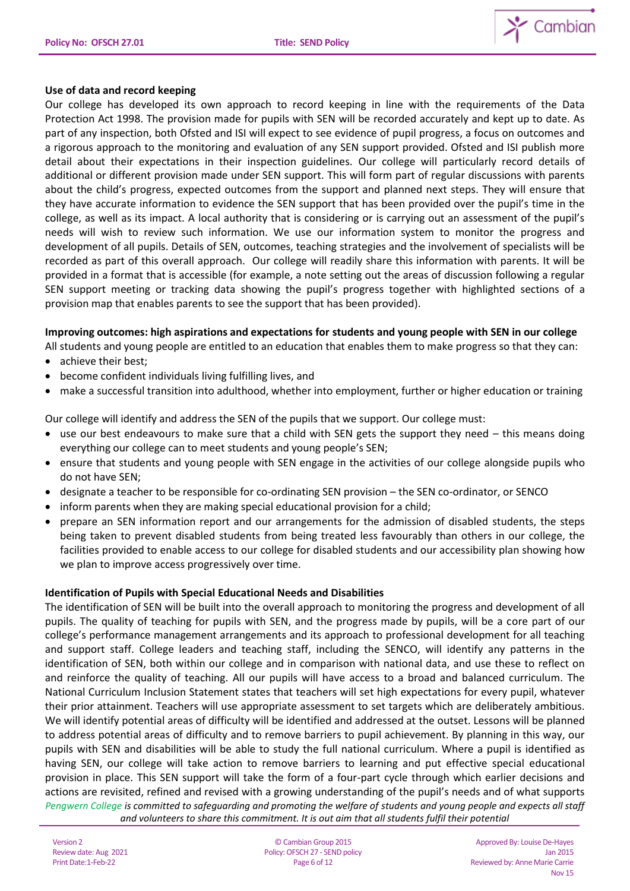

#### **Use of data and record keeping**

Our college has developed its own approach to record keeping in line with the requirements of the Data Protection Act 1998. The provision made for pupils with SEN will be recorded accurately and kept up to date. As part of any inspection, both Ofsted and ISI will expect to see evidence of pupil progress, a focus on outcomes and a rigorous approach to the monitoring and evaluation of any SEN support provided. Ofsted and ISI publish more detail about their expectations in their inspection guidelines. Our college will particularly record details of additional or different provision made under SEN support. This will form part of regular discussions with parents about the child's progress, expected outcomes from the support and planned next steps. They will ensure that they have accurate information to evidence the SEN support that has been provided over the pupil's time in the college, as well as its impact. A local authority that is considering or is carrying out an assessment of the pupil's needs will wish to review such information. We use our information system to monitor the progress and development of all pupils. Details of SEN, outcomes, teaching strategies and the involvement of specialists will be recorded as part of this overall approach. Our college will readily share this information with parents. It will be provided in a format that is accessible (for example, a note setting out the areas of discussion following a regular SEN support meeting or tracking data showing the pupil's progress together with highlighted sections of a provision map that enables parents to see the support that has been provided).

## **Improving outcomes: high aspirations and expectations for students and young people with SEN in our college**

All students and young people are entitled to an education that enables them to make progress so that they can:

- achieve their best;
- become confident individuals living fulfilling lives, and
- make a successful transition into adulthood, whether into employment, further or higher education or training

Our college will identify and address the SEN of the pupils that we support. Our college must:

- use our best endeavours to make sure that a child with SEN gets the support they need this means doing everything our college can to meet students and young people's SEN;
- ensure that students and young people with SEN engage in the activities of our college alongside pupils who do not have SEN;
- designate a teacher to be responsible for co-ordinating SEN provision the SEN co-ordinator, or SENCO
- inform parents when they are making special educational provision for a child;
- prepare an SEN information report and our arrangements for the admission of disabled students, the steps being taken to prevent disabled students from being treated less favourably than others in our college, the facilities provided to enable access to our college for disabled students and our accessibility plan showing how we plan to improve access progressively over time.

## **Identification of Pupils with Special Educational Needs and Disabilities**

*Pengwern College is committed to safeguarding and promoting the welfare of students and young people and expects all staff and volunteers to share this commitment. It is out aim that all students fulfil their potential* The identification of SEN will be built into the overall approach to monitoring the progress and development of all pupils. The quality of teaching for pupils with SEN, and the progress made by pupils, will be a core part of our college's performance management arrangements and its approach to professional development for all teaching and support staff. College leaders and teaching staff, including the SENCO, will identify any patterns in the identification of SEN, both within our college and in comparison with national data, and use these to reflect on and reinforce the quality of teaching. All our pupils will have access to a broad and balanced curriculum. The National Curriculum Inclusion Statement states that teachers will set high expectations for every pupil, whatever their prior attainment. Teachers will use appropriate assessment to set targets which are deliberately ambitious. We will identify potential areas of difficulty will be identified and addressed at the outset. Lessons will be planned to address potential areas of difficulty and to remove barriers to pupil achievement. By planning in this way, our pupils with SEN and disabilities will be able to study the full national curriculum. Where a pupil is identified as having SEN, our college will take action to remove barriers to learning and put effective special educational provision in place. This SEN support will take the form of a four-part cycle through which earlier decisions and actions are revisited, refined and revised with a growing understanding of the pupil's needs and of what supports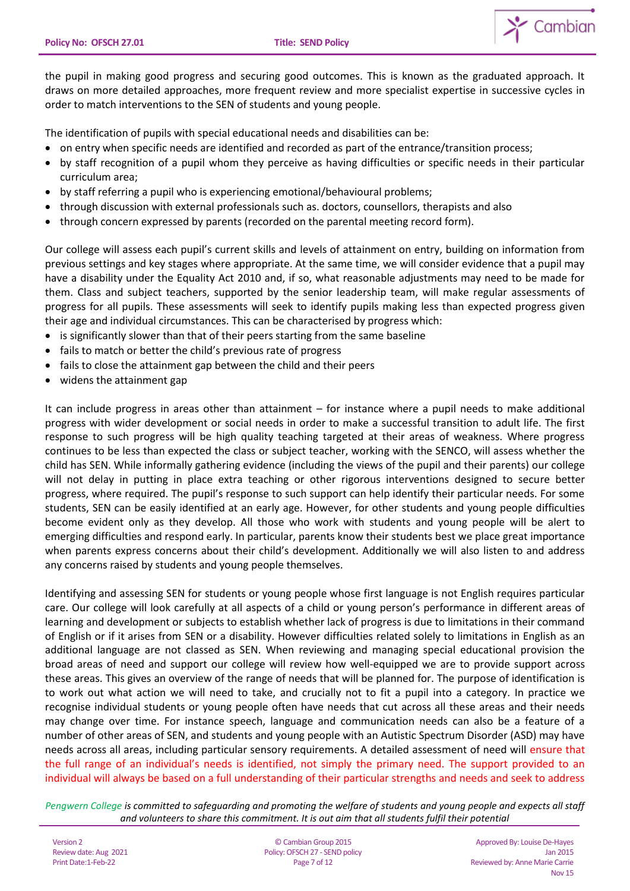

the pupil in making good progress and securing good outcomes. This is known as the graduated approach. It draws on more detailed approaches, more frequent review and more specialist expertise in successive cycles in order to match interventions to the SEN of students and young people.

The identification of pupils with special educational needs and disabilities can be:

- on entry when specific needs are identified and recorded as part of the entrance/transition process;
- by staff recognition of a pupil whom they perceive as having difficulties or specific needs in their particular curriculum area;
- by staff referring a pupil who is experiencing emotional/behavioural problems;
- through discussion with external professionals such as. doctors, counsellors, therapists and also
- through concern expressed by parents (recorded on the parental meeting record form).

Our college will assess each pupil's current skills and levels of attainment on entry, building on information from previous settings and key stages where appropriate. At the same time, we will consider evidence that a pupil may have a disability under the Equality Act 2010 and, if so, what reasonable adjustments may need to be made for them. Class and subject teachers, supported by the senior leadership team, will make regular assessments of progress for all pupils. These assessments will seek to identify pupils making less than expected progress given their age and individual circumstances. This can be characterised by progress which:

- is significantly slower than that of their peers starting from the same baseline
- fails to match or better the child's previous rate of progress
- fails to close the attainment gap between the child and their peers
- widens the attainment gap

It can include progress in areas other than attainment – for instance where a pupil needs to make additional progress with wider development or social needs in order to make a successful transition to adult life. The first response to such progress will be high quality teaching targeted at their areas of weakness. Where progress continues to be less than expected the class or subject teacher, working with the SENCO, will assess whether the child has SEN. While informally gathering evidence (including the views of the pupil and their parents) our college will not delay in putting in place extra teaching or other rigorous interventions designed to secure better progress, where required. The pupil's response to such support can help identify their particular needs. For some students, SEN can be easily identified at an early age. However, for other students and young people difficulties become evident only as they develop. All those who work with students and young people will be alert to emerging difficulties and respond early. In particular, parents know their students best we place great importance when parents express concerns about their child's development. Additionally we will also listen to and address any concerns raised by students and young people themselves.

Identifying and assessing SEN for students or young people whose first language is not English requires particular care. Our college will look carefully at all aspects of a child or young person's performance in different areas of learning and development or subjects to establish whether lack of progress is due to limitations in their command of English or if it arises from SEN or a disability. However difficulties related solely to limitations in English as an additional language are not classed as SEN. When reviewing and managing special educational provision the broad areas of need and support our college will review how well-equipped we are to provide support across these areas. This gives an overview of the range of needs that will be planned for. The purpose of identification is to work out what action we will need to take, and crucially not to fit a pupil into a category. In practice we recognise individual students or young people often have needs that cut across all these areas and their needs may change over time. For instance speech, language and communication needs can also be a feature of a number of other areas of SEN, and students and young people with an Autistic Spectrum Disorder (ASD) may have needs across all areas, including particular sensory requirements. A detailed assessment of need will ensure that the full range of an individual's needs is identified, not simply the primary need. The support provided to an individual will always be based on a full understanding of their particular strengths and needs and seek to address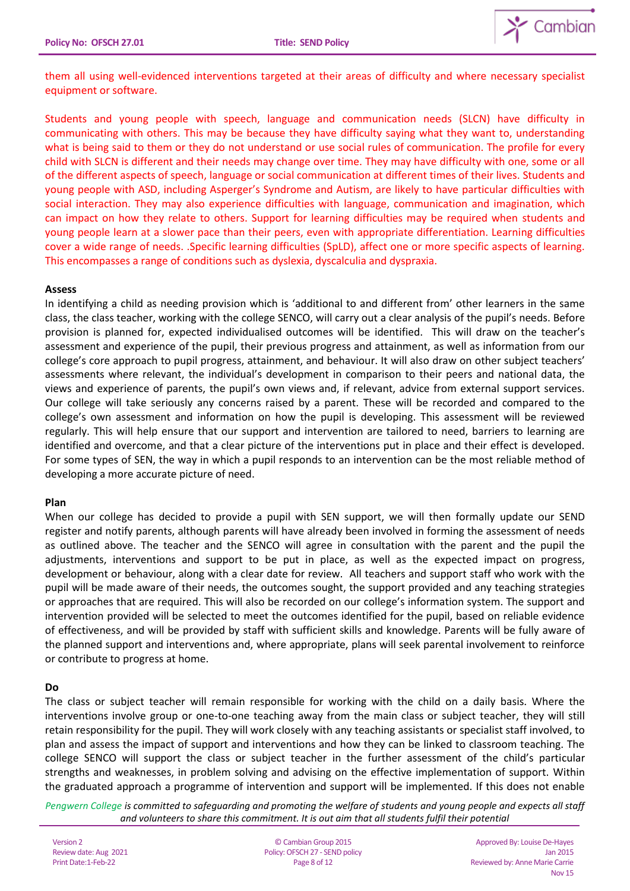

them all using well-evidenced interventions targeted at their areas of difficulty and where necessary specialist equipment or software.

Students and young people with speech, language and communication needs (SLCN) have difficulty in communicating with others. This may be because they have difficulty saying what they want to, understanding what is being said to them or they do not understand or use social rules of communication. The profile for every child with SLCN is different and their needs may change over time. They may have difficulty with one, some or all of the different aspects of speech, language or social communication at different times of their lives. Students and young people with ASD, including Asperger's Syndrome and Autism, are likely to have particular difficulties with social interaction. They may also experience difficulties with language, communication and imagination, which can impact on how they relate to others. Support for learning difficulties may be required when students and young people learn at a slower pace than their peers, even with appropriate differentiation. Learning difficulties cover a wide range of needs. .Specific learning difficulties (SpLD), affect one or more specific aspects of learning. This encompasses a range of conditions such as dyslexia, dyscalculia and dyspraxia.

#### **Assess**

In identifying a child as needing provision which is 'additional to and different from' other learners in the same class, the class teacher, working with the college SENCO, will carry out a clear analysis of the pupil's needs. Before provision is planned for, expected individualised outcomes will be identified. This will draw on the teacher's assessment and experience of the pupil, their previous progress and attainment, as well as information from our college's core approach to pupil progress, attainment, and behaviour. It will also draw on other subject teachers' assessments where relevant, the individual's development in comparison to their peers and national data, the views and experience of parents, the pupil's own views and, if relevant, advice from external support services. Our college will take seriously any concerns raised by a parent. These will be recorded and compared to the college's own assessment and information on how the pupil is developing. This assessment will be reviewed regularly. This will help ensure that our support and intervention are tailored to need, barriers to learning are identified and overcome, and that a clear picture of the interventions put in place and their effect is developed. For some types of SEN, the way in which a pupil responds to an intervention can be the most reliable method of developing a more accurate picture of need.

## **Plan**

When our college has decided to provide a pupil with SEN support, we will then formally update our SEND register and notify parents, although parents will have already been involved in forming the assessment of needs as outlined above. The teacher and the SENCO will agree in consultation with the parent and the pupil the adjustments, interventions and support to be put in place, as well as the expected impact on progress, development or behaviour, along with a clear date for review. All teachers and support staff who work with the pupil will be made aware of their needs, the outcomes sought, the support provided and any teaching strategies or approaches that are required. This will also be recorded on our college's information system. The support and intervention provided will be selected to meet the outcomes identified for the pupil, based on reliable evidence of effectiveness, and will be provided by staff with sufficient skills and knowledge. Parents will be fully aware of the planned support and interventions and, where appropriate, plans will seek parental involvement to reinforce or contribute to progress at home.

## **Do**

The class or subject teacher will remain responsible for working with the child on a daily basis. Where the interventions involve group or one-to-one teaching away from the main class or subject teacher, they will still retain responsibility for the pupil. They will work closely with any teaching assistants or specialist staff involved, to plan and assess the impact of support and interventions and how they can be linked to classroom teaching. The college SENCO will support the class or subject teacher in the further assessment of the child's particular strengths and weaknesses, in problem solving and advising on the effective implementation of support. Within the graduated approach a programme of intervention and support will be implemented. If this does not enable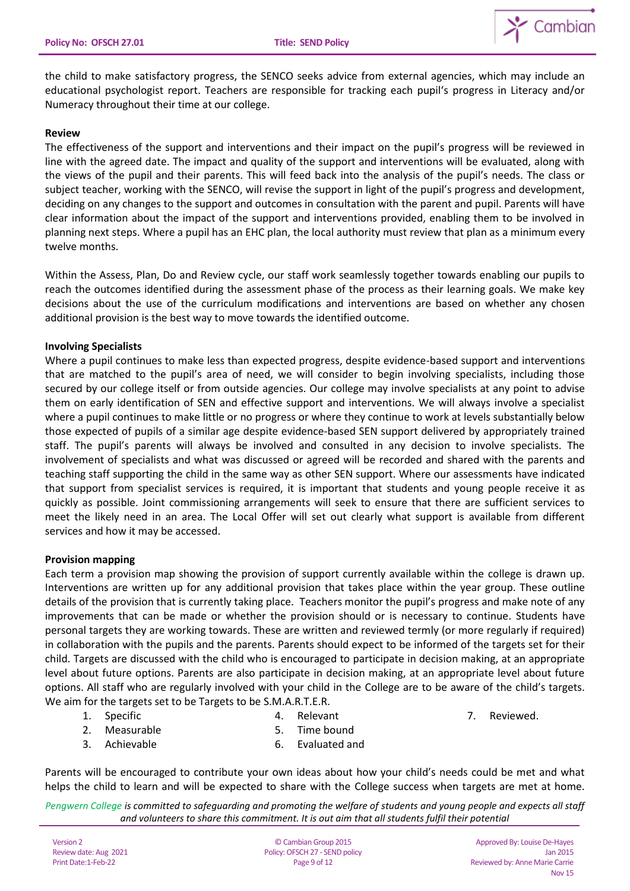

the child to make satisfactory progress, the SENCO seeks advice from external agencies, which may include an educational psychologist report. Teachers are responsible for tracking each pupil's progress in Literacy and/or Numeracy throughout their time at our college.

#### **Review**

The effectiveness of the support and interventions and their impact on the pupil's progress will be reviewed in line with the agreed date. The impact and quality of the support and interventions will be evaluated, along with the views of the pupil and their parents. This will feed back into the analysis of the pupil's needs. The class or subject teacher, working with the SENCO, will revise the support in light of the pupil's progress and development, deciding on any changes to the support and outcomes in consultation with the parent and pupil. Parents will have clear information about the impact of the support and interventions provided, enabling them to be involved in planning next steps. Where a pupil has an EHC plan, the local authority must review that plan as a minimum every twelve months.

Within the Assess, Plan, Do and Review cycle, our staff work seamlessly together towards enabling our pupils to reach the outcomes identified during the assessment phase of the process as their learning goals. We make key decisions about the use of the curriculum modifications and interventions are based on whether any chosen additional provision is the best way to move towards the identified outcome.

#### **Involving Specialists**

Where a pupil continues to make less than expected progress, despite evidence-based support and interventions that are matched to the pupil's area of need, we will consider to begin involving specialists, including those secured by our college itself or from outside agencies. Our college may involve specialists at any point to advise them on early identification of SEN and effective support and interventions. We will always involve a specialist where a pupil continues to make little or no progress or where they continue to work at levels substantially below those expected of pupils of a similar age despite evidence-based SEN support delivered by appropriately trained staff. The pupil's parents will always be involved and consulted in any decision to involve specialists. The involvement of specialists and what was discussed or agreed will be recorded and shared with the parents and teaching staff supporting the child in the same way as other SEN support. Where our assessments have indicated that support from specialist services is required, it is important that students and young people receive it as quickly as possible. Joint commissioning arrangements will seek to ensure that there are sufficient services to meet the likely need in an area. The Local Offer will set out clearly what support is available from different services and how it may be accessed.

## **Provision mapping**

Each term a provision map showing the provision of support currently available within the college is drawn up. Interventions are written up for any additional provision that takes place within the year group. These outline details of the provision that is currently taking place. Teachers monitor the pupil's progress and make note of any improvements that can be made or whether the provision should or is necessary to continue. Students have personal targets they are working towards. These are written and reviewed termly (or more regularly if required) in collaboration with the pupils and the parents. Parents should expect to be informed of the targets set for their child. Targets are discussed with the child who is encouraged to participate in decision making, at an appropriate level about future options. Parents are also participate in decision making, at an appropriate level about future options. All staff who are regularly involved with your child in the College are to be aware of the child's targets. We aim for the targets set to be Targets to be S.M.A.R.T.E.R.

1. Specific

4. Relevant

7. Reviewed.

- 2. Measurable
- 3. Achievable
- 5. Time bound
- 6. Evaluated and

Parents will be encouraged to contribute your own ideas about how your child's needs could be met and what helps the child to learn and will be expected to share with the College success when targets are met at home.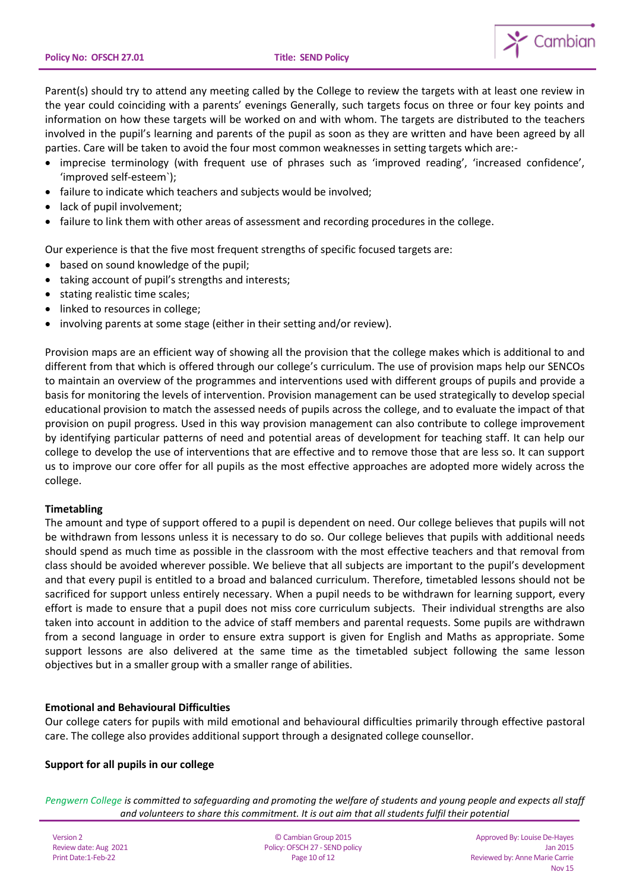

Parent(s) should try to attend any meeting called by the College to review the targets with at least one review in the year could coinciding with a parents' evenings Generally, such targets focus on three or four key points and information on how these targets will be worked on and with whom. The targets are distributed to the teachers involved in the pupil's learning and parents of the pupil as soon as they are written and have been agreed by all parties. Care will be taken to avoid the four most common weaknesses in setting targets which are:-

- imprecise terminology (with frequent use of phrases such as 'improved reading', 'increased confidence', 'improved self-esteem`);
- failure to indicate which teachers and subjects would be involved;
- lack of pupil involvement;
- failure to link them with other areas of assessment and recording procedures in the college.

Our experience is that the five most frequent strengths of specific focused targets are:

- based on sound knowledge of the pupil;
- taking account of pupil's strengths and interests;
- stating realistic time scales;
- linked to resources in college:
- involving parents at some stage (either in their setting and/or review).

Provision maps are an efficient way of showing all the provision that the college makes which is additional to and different from that which is offered through our college's curriculum. The use of provision maps help our SENCOs to maintain an overview of the programmes and interventions used with different groups of pupils and provide a basis for monitoring the levels of intervention. Provision management can be used strategically to develop special educational provision to match the assessed needs of pupils across the college, and to evaluate the impact of that provision on pupil progress. Used in this way provision management can also contribute to college improvement by identifying particular patterns of need and potential areas of development for teaching staff. It can help our college to develop the use of interventions that are effective and to remove those that are less so. It can support us to improve our core offer for all pupils as the most effective approaches are adopted more widely across the college.

## **Timetabling**

The amount and type of support offered to a pupil is dependent on need. Our college believes that pupils will not be withdrawn from lessons unless it is necessary to do so. Our college believes that pupils with additional needs should spend as much time as possible in the classroom with the most effective teachers and that removal from class should be avoided wherever possible. We believe that all subjects are important to the pupil's development and that every pupil is entitled to a broad and balanced curriculum. Therefore, timetabled lessons should not be sacrificed for support unless entirely necessary. When a pupil needs to be withdrawn for learning support, every effort is made to ensure that a pupil does not miss core curriculum subjects. Their individual strengths are also taken into account in addition to the advice of staff members and parental requests. Some pupils are withdrawn from a second language in order to ensure extra support is given for English and Maths as appropriate. Some support lessons are also delivered at the same time as the timetabled subject following the same lesson objectives but in a smaller group with a smaller range of abilities.

## **Emotional and Behavioural Difficulties**

Our college caters for pupils with mild emotional and behavioural difficulties primarily through effective pastoral care. The college also provides additional support through a designated college counsellor.

## **Support for all pupils in our college**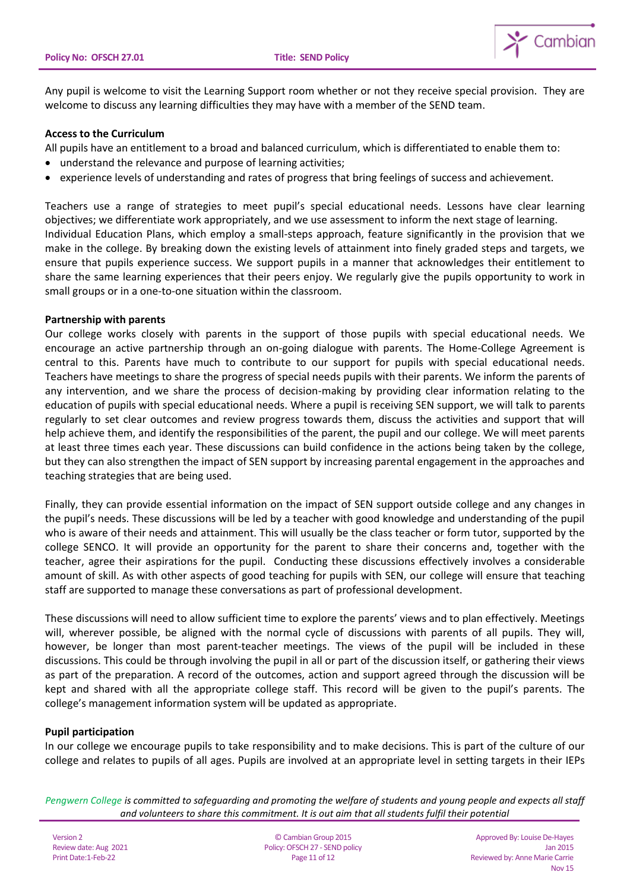

Any pupil is welcome to visit the Learning Support room whether or not they receive special provision. They are welcome to discuss any learning difficulties they may have with a member of the SEND team.

#### **Access to the Curriculum**

All pupils have an entitlement to a broad and balanced curriculum, which is differentiated to enable them to:

- understand the relevance and purpose of learning activities;
- experience levels of understanding and rates of progress that bring feelings of success and achievement.

Teachers use a range of strategies to meet pupil's special educational needs. Lessons have clear learning objectives; we differentiate work appropriately, and we use assessment to inform the next stage of learning. Individual Education Plans, which employ a small-steps approach, feature significantly in the provision that we make in the college. By breaking down the existing levels of attainment into finely graded steps and targets, we ensure that pupils experience success. We support pupils in a manner that acknowledges their entitlement to share the same learning experiences that their peers enjoy. We regularly give the pupils opportunity to work in small groups or in a one-to-one situation within the classroom.

#### **Partnership with parents**

Our college works closely with parents in the support of those pupils with special educational needs. We encourage an active partnership through an on-going dialogue with parents. The Home-College Agreement is central to this. Parents have much to contribute to our support for pupils with special educational needs. Teachers have meetings to share the progress of special needs pupils with their parents. We inform the parents of any intervention, and we share the process of decision-making by providing clear information relating to the education of pupils with special educational needs. Where a pupil is receiving SEN support, we will talk to parents regularly to set clear outcomes and review progress towards them, discuss the activities and support that will help achieve them, and identify the responsibilities of the parent, the pupil and our college. We will meet parents at least three times each year. These discussions can build confidence in the actions being taken by the college, but they can also strengthen the impact of SEN support by increasing parental engagement in the approaches and teaching strategies that are being used.

Finally, they can provide essential information on the impact of SEN support outside college and any changes in the pupil's needs. These discussions will be led by a teacher with good knowledge and understanding of the pupil who is aware of their needs and attainment. This will usually be the class teacher or form tutor, supported by the college SENCO. It will provide an opportunity for the parent to share their concerns and, together with the teacher, agree their aspirations for the pupil. Conducting these discussions effectively involves a considerable amount of skill. As with other aspects of good teaching for pupils with SEN, our college will ensure that teaching staff are supported to manage these conversations as part of professional development.

These discussions will need to allow sufficient time to explore the parents' views and to plan effectively. Meetings will, wherever possible, be aligned with the normal cycle of discussions with parents of all pupils. They will, however, be longer than most parent-teacher meetings. The views of the pupil will be included in these discussions. This could be through involving the pupil in all or part of the discussion itself, or gathering their views as part of the preparation. A record of the outcomes, action and support agreed through the discussion will be kept and shared with all the appropriate college staff. This record will be given to the pupil's parents. The college's management information system will be updated as appropriate.

## **Pupil participation**

In our college we encourage pupils to take responsibility and to make decisions. This is part of the culture of our college and relates to pupils of all ages. Pupils are involved at an appropriate level in setting targets in their IEPs